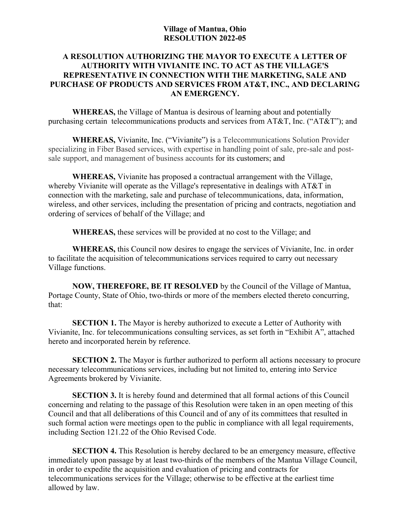### **Village of Mantua, Ohio RESOLUTION 2022-05**

## **A RESOLUTION AUTHORIZING THE MAYOR TO EXECUTE A LETTER OF AUTHORITY WITH VIVIANITE INC. TO ACT AS THE VILLAGE'S REPRESENTATIVE IN CONNECTION WITH THE MARKETING, SALE AND PURCHASE OF PRODUCTS AND SERVICES FROM AT&T, INC., AND DECLARING AN EMERGENCY.**

**WHEREAS,** the Village of Mantua is desirous of learning about and potentially purchasing certain telecommunications products and services from AT&T, Inc. ("AT&T"); and

**WHEREAS,** Vivianite, Inc. ("Vivianite") is a Telecommunications Solution Provider specializing in Fiber Based services, with expertise in handling point of sale, pre-sale and postsale support, and management of business accounts for its customers; and

**WHEREAS,** Vivianite has proposed a contractual arrangement with the Village, whereby Vivianite will operate as the Village's representative in dealings with AT&T in connection with the marketing, sale and purchase of telecommunications, data, information, wireless, and other services, including the presentation of pricing and contracts, negotiation and ordering of services of behalf of the Village; and

**WHEREAS,** these services will be provided at no cost to the Village; and

**WHEREAS,** this Council now desires to engage the services of Vivianite, Inc. in order to facilitate the acquisition of telecommunications services required to carry out necessary Village functions.

**NOW, THEREFORE, BE IT RESOLVED** by the Council of the Village of Mantua, Portage County, State of Ohio, two-thirds or more of the members elected thereto concurring, that:

**SECTION 1.** The Mayor is hereby authorized to execute a Letter of Authority with Vivianite, Inc. for telecommunications consulting services, as set forth in "Exhibit A", attached hereto and incorporated herein by reference.

**SECTION 2.** The Mayor is further authorized to perform all actions necessary to procure necessary telecommunications services, including but not limited to, entering into Service Agreements brokered by Vivianite.

**SECTION 3.** It is hereby found and determined that all formal actions of this Council concerning and relating to the passage of this Resolution were taken in an open meeting of this Council and that all deliberations of this Council and of any of its committees that resulted in such formal action were meetings open to the public in compliance with all legal requirements, including Section 121.22 of the Ohio Revised Code.

**SECTION 4.** This Resolution is hereby declared to be an emergency measure, effective immediately upon passage by at least two-thirds of the members of the Mantua Village Council, in order to expedite the acquisition and evaluation of pricing and contracts for telecommunications services for the Village; otherwise to be effective at the earliest time allowed by law.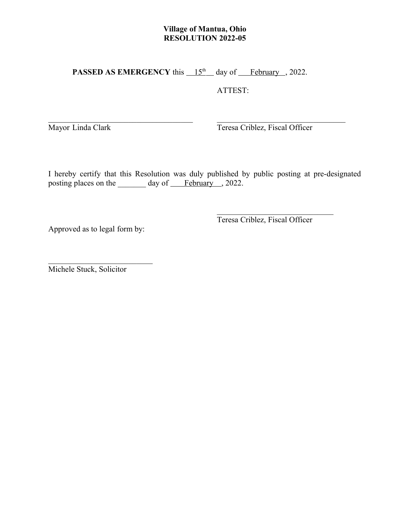# **Village of Mantua, Ohio RESOLUTION 2022-05**

**PASSED AS EMERGENCY** this  $15<sup>th</sup>$  day of February , 2022.

ATTEST:

Mayor Linda Clark Teresa Criblez, Fiscal Officer

I hereby certify that this Resolution was duly published by public posting at pre-designated posting places on the \_\_\_\_\_\_\_ day of \_\_\_\_February \_\_, 2022.

Approved as to legal form by:

Teresa Criblez, Fiscal Officer

Michele Stuck, Solicitor